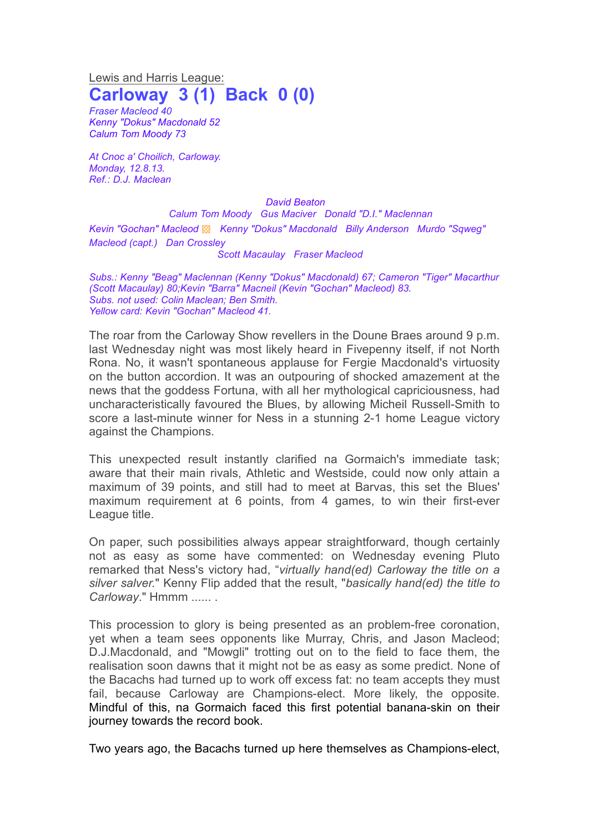Lewis and Harris League: **Carloway 3 (1) Back 0 (0)**

*Fraser Macleod 40 Kenny "Dokus" Macdonald 52 Calum Tom Moody 73*

*At Cnoc a' Choilich, Carloway. Monday, 12.8.13. Ref.: D.J. Maclean*

*David Beaton Calum Tom Moody Gus Maciver Donald "D.I." Maclennan Kevin "Gochan" Macleod* ▩ *Kenny "Dokus" Macdonald Billy Anderson Murdo "Sqweg" Macleod (capt.) Dan Crossley Scott Macaulay Fraser Macleod*

*Subs.: Kenny "Beag" Maclennan (Kenny "Dokus" Macdonald) 67; Cameron "Tiger" Macarthur (Scott Macaulay) 80;Kevin "Barra" Macneil (Kevin "Gochan" Macleod) 83. Subs. not used: Colin Maclean; Ben Smith. Yellow card: Kevin "Gochan" Macleod 41.*

The roar from the Carloway Show revellers in the Doune Braes around 9 p.m. last Wednesday night was most likely heard in Fivepenny itself, if not North Rona. No, it wasn't spontaneous applause for Fergie Macdonald's virtuosity on the button accordion. It was an outpouring of shocked amazement at the news that the goddess Fortuna, with all her mythological capriciousness, had uncharacteristically favoured the Blues, by allowing Micheil Russell-Smith to score a last-minute winner for Ness in a stunning 2-1 home League victory against the Champions.

This unexpected result instantly clarified na Gormaich's immediate task; aware that their main rivals, Athletic and Westside, could now only attain a maximum of 39 points, and still had to meet at Barvas, this set the Blues' maximum requirement at 6 points, from 4 games, to win their first-ever League title.

On paper, such possibilities always appear straightforward, though certainly not as easy as some have commented: on Wednesday evening Pluto remarked that Ness's victory had, "*virtually hand(ed) Carloway the title on a silver salver.*" Kenny Flip added that the result, "*basically hand(ed) the title to Carloway*." Hmmm ...... .

This procession to glory is being presented as an problem-free coronation, yet when a team sees opponents like Murray, Chris, and Jason Macleod; D.J.Macdonald, and "Mowgli" trotting out on to the field to face them, the realisation soon dawns that it might not be as easy as some predict. None of the Bacachs had turned up to work off excess fat: no team accepts they must fail, because Carloway are Champions-elect. More likely, the opposite. Mindful of this, na Gormaich faced this first potential banana-skin on their journey towards the record book.

Two years ago, the Bacachs turned up here themselves as Champions-elect,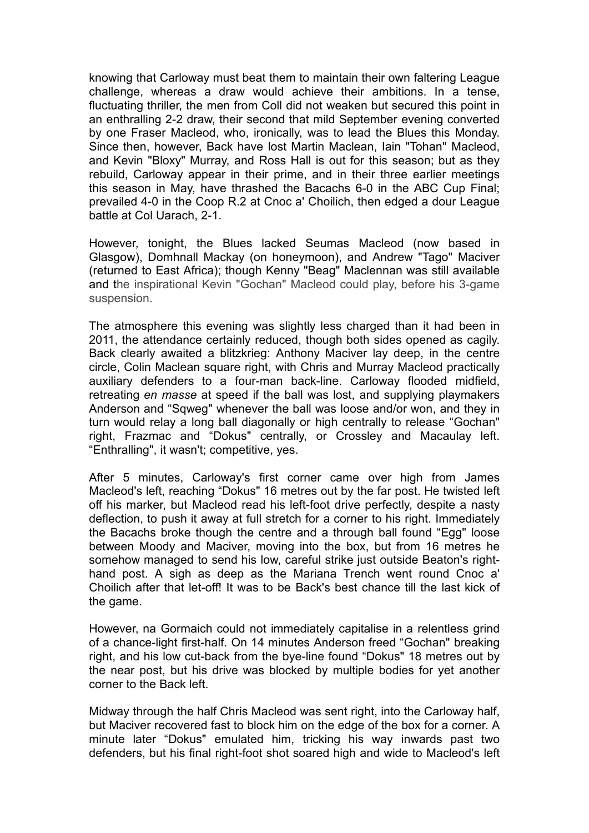knowing that Carloway must beat them to maintain their own faltering League challenge, whereas a draw would achieve their ambitions. In a tense, fluctuating thriller, the men from Coll did not weaken but secured this point in an enthralling 2-2 draw, their second that mild September evening converted by one Fraser Macleod, who, ironically, was to lead the Blues this Monday. Since then, however, Back have lost Martin Maclean, Iain "Tohan" Macleod, and Kevin "Bloxy" Murray, and Ross Hall is out for this season; but as they rebuild, Carloway appear in their prime, and in their three earlier meetings this season in May, have thrashed the Bacachs 6-0 in the ABC Cup Final; prevailed 4-0 in the Coop R.2 at Cnoc a' Choilich, then edged a dour League battle at Col Uarach, 2-1.

However, tonight, the Blues lacked Seumas Macleod (now based in Glasgow), Domhnall Mackay (on honeymoon), and Andrew "Tago" Maciver (returned to East Africa); though Kenny "Beag" Maclennan was still available and the inspirational Kevin "Gochan" Macleod could play, before his 3-game suspension.

The atmosphere this evening was slightly less charged than it had been in 2011, the attendance certainly reduced, though both sides opened as cagily. Back clearly awaited a blitzkrieg: Anthony Maciver lay deep, in the centre circle, Colin Maclean square right, with Chris and Murray Macleod practically auxiliary defenders to a four-man back-line. Carloway flooded midfield, retreating *en masse* at speed if the ball was lost, and supplying playmakers Anderson and "Sqweg" whenever the ball was loose and/or won, and they in turn would relay a long ball diagonally or high centrally to release "Gochan" right, Frazmac and "Dokus" centrally, or Crossley and Macaulay left. "Enthralling", it wasn't; competitive, yes.

After 5 minutes, Carloway's first corner came over high from James Macleod's left, reaching "Dokus" 16 metres out by the far post. He twisted left off his marker, but Macleod read his left-foot drive perfectly, despite a nasty deflection, to push it away at full stretch for a corner to his right. Immediately the Bacachs broke though the centre and a through ball found "Egg" loose between Moody and Maciver, moving into the box, but from 16 metres he somehow managed to send his low, careful strike just outside Beaton's righthand post. A sigh as deep as the Mariana Trench went round Cnoc a' Choilich after that let-off! It was to be Back's best chance till the last kick of the game.

However, na Gormaich could not immediately capitalise in a relentless grind of a chance-light first-half. On 14 minutes Anderson freed "Gochan" breaking right, and his low cut-back from the bye-line found "Dokus" 18 metres out by the near post, but his drive was blocked by multiple bodies for yet another corner to the Back left.

Midway through the half Chris Macleod was sent right, into the Carloway half, but Maciver recovered fast to block him on the edge of the box for a corner. A minute later "Dokus" emulated him, tricking his way inwards past two defenders, but his final right-foot shot soared high and wide to Macleod's left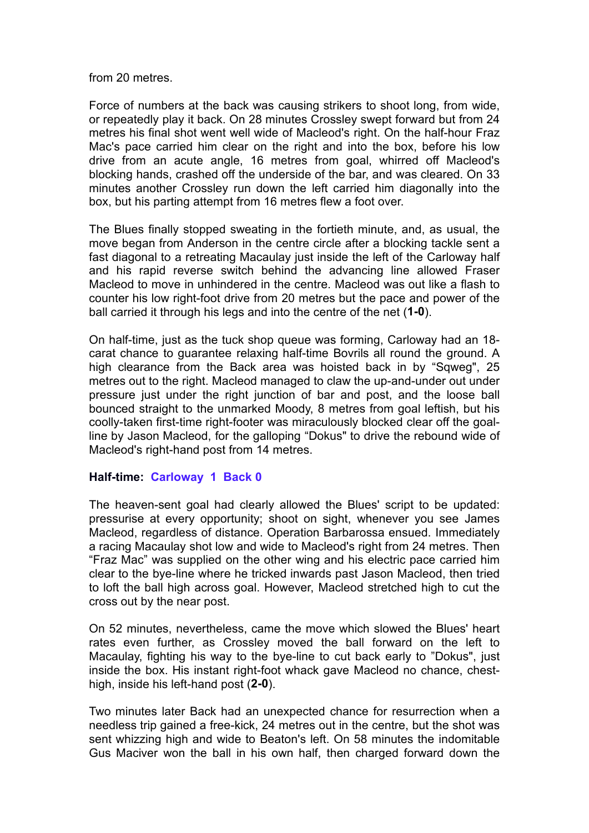from 20 metres.

Force of numbers at the back was causing strikers to shoot long, from wide, or repeatedly play it back. On 28 minutes Crossley swept forward but from 24 metres his final shot went well wide of Macleod's right. On the half-hour Fraz Mac's pace carried him clear on the right and into the box, before his low drive from an acute angle, 16 metres from goal, whirred off Macleod's blocking hands, crashed off the underside of the bar, and was cleared. On 33 minutes another Crossley run down the left carried him diagonally into the box, but his parting attempt from 16 metres flew a foot over.

The Blues finally stopped sweating in the fortieth minute, and, as usual, the move began from Anderson in the centre circle after a blocking tackle sent a fast diagonal to a retreating Macaulay just inside the left of the Carloway half and his rapid reverse switch behind the advancing line allowed Fraser Macleod to move in unhindered in the centre. Macleod was out like a flash to counter his low right-foot drive from 20 metres but the pace and power of the ball carried it through his legs and into the centre of the net (**1-0**).

On half-time, just as the tuck shop queue was forming, Carloway had an 18 carat chance to guarantee relaxing half-time Bovrils all round the ground. A high clearance from the Back area was hoisted back in by "Sqweg", 25 metres out to the right. Macleod managed to claw the up-and-under out under pressure just under the right junction of bar and post, and the loose ball bounced straight to the unmarked Moody, 8 metres from goal leftish, but his coolly-taken first-time right-footer was miraculously blocked clear off the goalline by Jason Macleod, for the galloping "Dokus" to drive the rebound wide of Macleod's right-hand post from 14 metres.

## **Half-time: Carloway 1 Back 0**

The heaven-sent goal had clearly allowed the Blues' script to be updated: pressurise at every opportunity; shoot on sight, whenever you see James Macleod, regardless of distance. Operation Barbarossa ensued. Immediately a racing Macaulay shot low and wide to Macleod's right from 24 metres. Then "Fraz Mac" was supplied on the other wing and his electric pace carried him clear to the bye-line where he tricked inwards past Jason Macleod, then tried to loft the ball high across goal. However, Macleod stretched high to cut the cross out by the near post.

On 52 minutes, nevertheless, came the move which slowed the Blues' heart rates even further, as Crossley moved the ball forward on the left to Macaulay, fighting his way to the bye-line to cut back early to "Dokus", just inside the box. His instant right-foot whack gave Macleod no chance, chesthigh, inside his left-hand post (**2-0**).

Two minutes later Back had an unexpected chance for resurrection when a needless trip gained a free-kick, 24 metres out in the centre, but the shot was sent whizzing high and wide to Beaton's left. On 58 minutes the indomitable Gus Maciver won the ball in his own half, then charged forward down the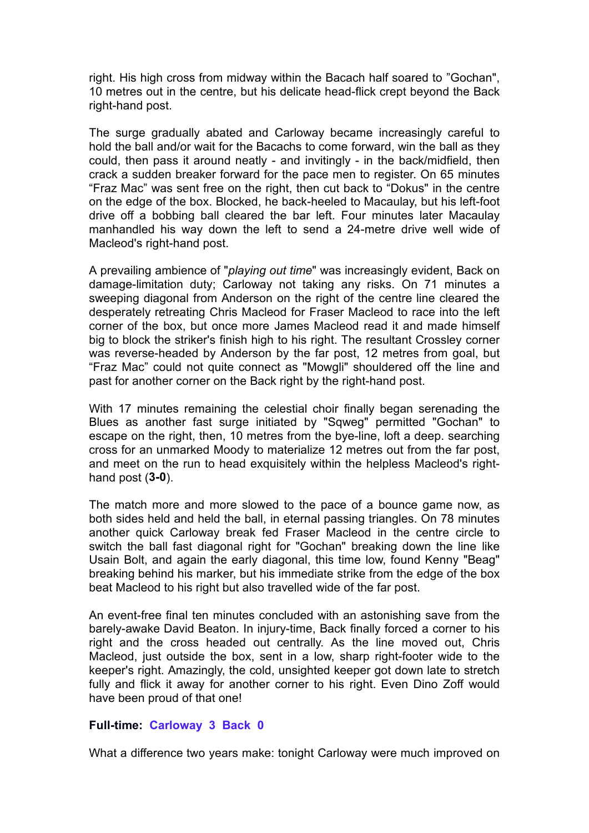right. His high cross from midway within the Bacach half soared to "Gochan", 10 metres out in the centre, but his delicate head-flick crept beyond the Back right-hand post.

The surge gradually abated and Carloway became increasingly careful to hold the ball and/or wait for the Bacachs to come forward, win the ball as they could, then pass it around neatly - and invitingly - in the back/midfield, then crack a sudden breaker forward for the pace men to register. On 65 minutes "Fraz Mac" was sent free on the right, then cut back to "Dokus" in the centre on the edge of the box. Blocked, he back-heeled to Macaulay, but his left-foot drive off a bobbing ball cleared the bar left. Four minutes later Macaulay manhandled his way down the left to send a 24-metre drive well wide of Macleod's right-hand post.

A prevailing ambience of "*playing out time*" was increasingly evident, Back on damage-limitation duty; Carloway not taking any risks. On 71 minutes a sweeping diagonal from Anderson on the right of the centre line cleared the desperately retreating Chris Macleod for Fraser Macleod to race into the left corner of the box, but once more James Macleod read it and made himself big to block the striker's finish high to his right. The resultant Crossley corner was reverse-headed by Anderson by the far post, 12 metres from goal, but "Fraz Mac" could not quite connect as "Mowgli" shouldered off the line and past for another corner on the Back right by the right-hand post.

With 17 minutes remaining the celestial choir finally began serenading the Blues as another fast surge initiated by "Sqweg" permitted "Gochan" to escape on the right, then, 10 metres from the bye-line, loft a deep. searching cross for an unmarked Moody to materialize 12 metres out from the far post, and meet on the run to head exquisitely within the helpless Macleod's righthand post (**3-0**).

The match more and more slowed to the pace of a bounce game now, as both sides held and held the ball, in eternal passing triangles. On 78 minutes another quick Carloway break fed Fraser Macleod in the centre circle to switch the ball fast diagonal right for "Gochan" breaking down the line like Usain Bolt, and again the early diagonal, this time low, found Kenny "Beag" breaking behind his marker, but his immediate strike from the edge of the box beat Macleod to his right but also travelled wide of the far post.

An event-free final ten minutes concluded with an astonishing save from the barely-awake David Beaton. In injury-time, Back finally forced a corner to his right and the cross headed out centrally. As the line moved out, Chris Macleod, just outside the box, sent in a low, sharp right-footer wide to the keeper's right. Amazingly, the cold, unsighted keeper got down late to stretch fully and flick it away for another corner to his right. Even Dino Zoff would have been proud of that one!

## **Full-time: Carloway 3 Back 0**

What a difference two years make: tonight Carloway were much improved on